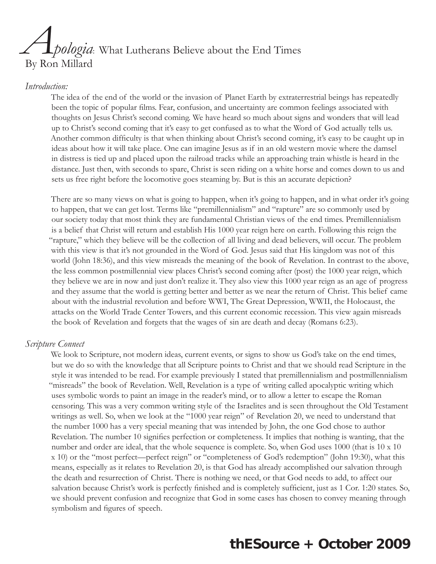# *Apologia*: What Lutherans Believe about the End Times By Ron Millard

#### *Introduction:*

The idea of the end of the world or the invasion of Planet Earth by extraterrestrial beings has repeatedly been the topic of popular films. Fear, confusion, and uncertainty are common feelings associated with thoughts on Jesus Christ's second coming. We have heard so much about signs and wonders that will lead up to Christ's second coming that it's easy to get confused as to what the Word of God actually tells us. Another common difficulty is that when thinking about Christ's second coming, it's easy to be caught up in ideas about how it will take place. One can imagine Jesus as if in an old western movie where the damsel in distress is tied up and placed upon the railroad tracks while an approaching train whistle is heard in the distance. Just then, with seconds to spare, Christ is seen riding on a white horse and comes down to us and sets us free right before the locomotive goes steaming by. But is this an accurate depiction?

There are so many views on what is going to happen, when it's going to happen, and in what order it's going to happen, that we can get lost. Terms like "premillennialism" and "rapture" are so commonly used by our society today that most think they are fundamental Christian views of the end times. Premillennialism is a belief that Christ will return and establish His 1000 year reign here on earth. Following this reign the "rapture," which they believe will be the collection of all living and dead believers, will occur. The problem with this view is that it's not grounded in the Word of God. Jesus said that His kingdom was not of this world (John 18:36), and this view misreads the meaning of the book of Revelation. In contrast to the above, the less common postmillennial view places Christ's second coming after (post) the 1000 year reign, which they believe we are in now and just don't realize it. They also view this 1000 year reign as an age of progress and they assume that the world is getting better and better as we near the return of Christ. This belief came about with the industrial revolution and before WWI, The Great Depression, WWII, the Holocaust, the attacks on the World Trade Center Towers, and this current economic recession. This view again misreads the book of Revelation and forgets that the wages of sin are death and decay (Romans 6:23).

#### *Scripture Connect*

We look to Scripture, not modern ideas, current events, or signs to show us God's take on the end times, but we do so with the knowledge that all Scripture points to Christ and that we should read Scripture in the style it was intended to be read. For example previously I stated that premillennialism and postmillennialism "misreads" the book of Revelation. Well, Revelation is a type of writing called apocalyptic writing which uses symbolic words to paint an image in the reader's mind, or to allow a letter to escape the Roman censoring. This was a very common writing style of the Israelites and is seen throughout the Old Testament writings as well. So, when we look at the "1000 year reign" of Revelation 20, we need to understand that the number 1000 has a very special meaning that was intended by John, the one God chose to author Revelation. The number 10 signifies perfection or completeness. It implies that nothing is wanting, that the number and order are ideal, that the whole sequence is complete. So, when God uses 1000 (that is 10 x 10 x 10) or the "most perfect—perfect reign" or "completeness of God's redemption" (John 19:30), what this means, especially as it relates to Revelation 20, is that God has already accomplished our salvation through the death and resurrection of Christ. There is nothing we need, or that God needs to add, to affect our salvation because Christ's work is perfectly finished and is completely sufficient, just as 1 Cor. 1:20 states. So, we should prevent confusion and recognize that God in some cases has chosen to convey meaning through symbolism and figures of speech.

### **thESource + October 2009**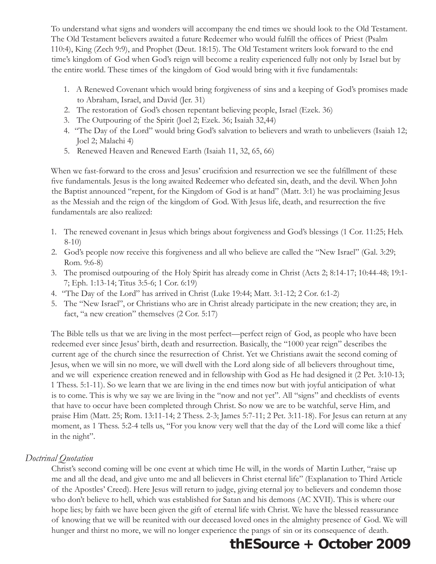To understand what signs and wonders will accompany the end times we should look to the Old Testament. The Old Testament believers awaited a future Redeemer who would fulfill the offices of Priest (Psalm 110:4), King (Zech 9:9), and Prophet (Deut. 18:15). The Old Testament writers look forward to the end time's kingdom of God when God's reign will become a reality experienced fully not only by Israel but by the entire world. These times of the kingdom of God would bring with it five fundamentals:

- 1. A Renewed Covenant which would bring forgiveness of sins and a keeping of God's promises made to Abraham, Israel, and David (Jer. 31)
- 2. The restoration of God's chosen repentant believing people, Israel (Ezek. 36)
- 3. The Outpouring of the Spirit (Joel 2; Ezek. 36; Isaiah 32,44)
- 4. "The Day of the Lord" would bring God's salvation to believers and wrath to unbelievers (Isaiah 12; Joel 2; Malachi 4)
- 5. Renewed Heaven and Renewed Earth (Isaiah 11, 32, 65, 66)

When we fast-forward to the cross and Jesus' crucifixion and resurrection we see the fulfillment of these five fundamentals. Jesus is the long awaited Redeemer who defeated sin, death, and the devil. When John the Baptist announced "repent, for the Kingdom of God is at hand" (Matt. 3:1) he was proclaiming Jesus as the Messiah and the reign of the kingdom of God. With Jesus life, death, and resurrection the five fundamentals are also realized:

- 1. The renewed covenant in Jesus which brings about forgiveness and God's blessings (1 Cor. 11:25; Heb. 8-10)
- 2. God's people now receive this forgiveness and all who believe are called the "New Israel" (Gal. 3:29; Rom. 9:6-8)
- 3. The promised outpouring of the Holy Spirit has already come in Christ (Acts 2; 8:14-17; 10:44-48; 19:1- 7; Eph. 1:13-14; Titus 3:5-6; 1 Cor. 6:19)
- 4. "The Day of the Lord" has arrived in Christ (Luke 19:44; Matt. 3:1-12; 2 Cor. 6:1-2)
- 5. The "New Israel", or Christians who are in Christ already participate in the new creation; they are, in fact, "a new creation" themselves (2 Cor. 5:17)

The Bible tells us that we are living in the most perfect—perfect reign of God, as people who have been redeemed ever since Jesus' birth, death and resurrection. Basically, the "1000 year reign" describes the current age of the church since the resurrection of Christ. Yet we Christians await the second coming of Jesus, when we will sin no more, we will dwell with the Lord along side of all believers throughout time, and we will experience creation renewed and in fellowship with God as He had designed it (2 Pet. 3:10-13; 1 Thess. 5:1-11). So we learn that we are living in the end times now but with joyful anticipation of what is to come. This is why we say we are living in the "now and not yet". All "signs" and checklists of events that have to occur have been completed through Christ. So now we are to be watchful, serve Him, and praise Him (Matt. 25; Rom. 13:11-14; 2 Thess. 2-3; James 5:7-11; 2 Pet. 3:11-18). For Jesus can return at any moment, as 1 Thess. 5:2-4 tells us, "For you know very well that the day of the Lord will come like a thief in the night".

### *Doctrinal Quotation*

Christ's second coming will be one event at which time He will, in the words of Martin Luther, "raise up me and all the dead, and give unto me and all believers in Christ eternal life" (Explanation to Third Article of the Apostles' Creed). Here Jesus will return to judge, giving eternal joy to believers and condemn those who don't believe to hell, which was established for Satan and his demons (AC XVII). This is where our hope lies; by faith we have been given the gift of eternal life with Christ. We have the blessed reassurance of knowing that we will be reunited with our deceased loved ones in the almighty presence of God. We will hunger and thirst no more, we will no longer experience the pangs of sin or its consequence of death.

## **thESource + October 2009**